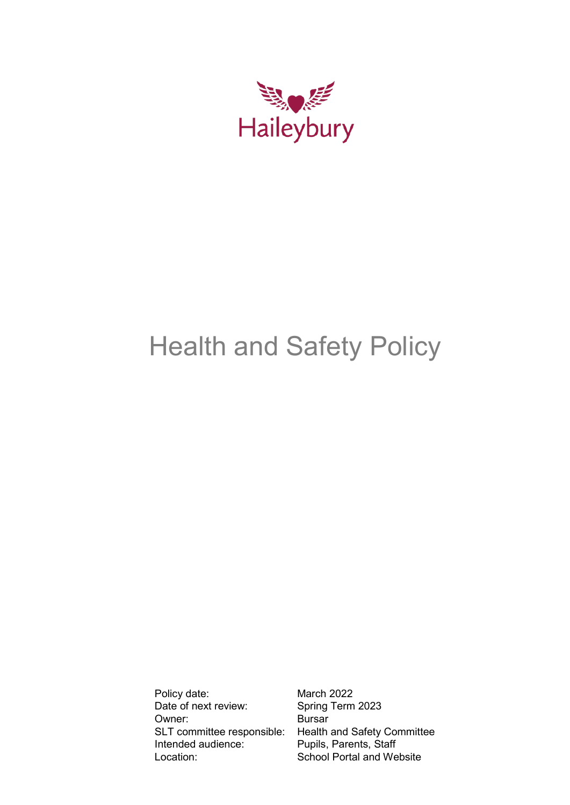

# Health and Safety Policy

Policy date: March 2022<br>Date of next review: Spring Term 2023 Date of next review: Owner: Bursar Intended audience: Pupils, Parents, Staff Location: School Portal and Website

SLT committee responsible: Health and Safety Committee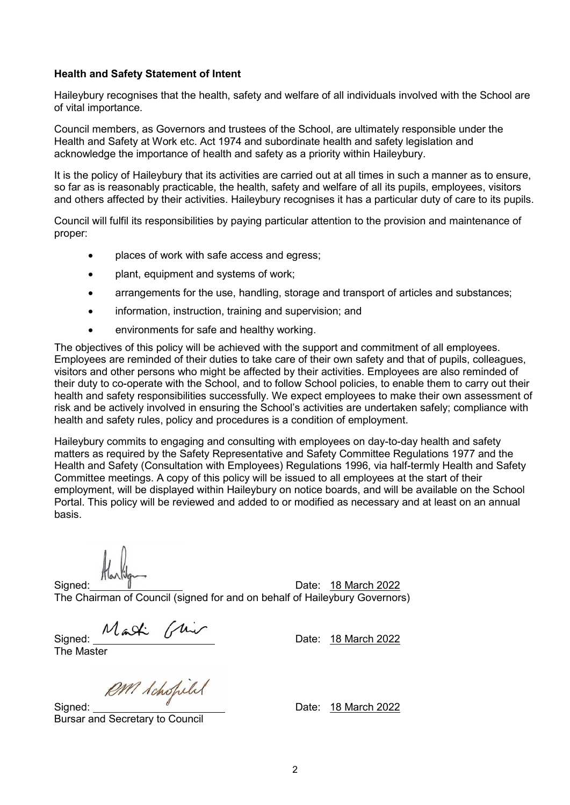# **Health and Safety Statement of Intent**

Haileybury recognises that the health, safety and welfare of all individuals involved with the School are of vital importance.

Council members, as Governors and trustees of the School, are ultimately responsible under the Health and Safety at Work etc. Act 1974 and subordinate health and safety legislation and acknowledge the importance of health and safety as a priority within Haileybury.

It is the policy of Haileybury that its activities are carried out at all times in such a manner as to ensure, so far as is reasonably practicable, the health, safety and welfare of all its pupils, employees, visitors and others affected by their activities. Haileybury recognises it has a particular duty of care to its pupils.

Council will fulfil its responsibilities by paying particular attention to the provision and maintenance of proper:

- places of work with safe access and egress;
- plant, equipment and systems of work;
- arrangements for the use, handling, storage and transport of articles and substances;
- information, instruction, training and supervision; and
- environments for safe and healthy working.

The objectives of this policy will be achieved with the support and commitment of all employees. Employees are reminded of their duties to take care of their own safety and that of pupils, colleagues, visitors and other persons who might be affected by their activities. Employees are also reminded of their duty to co-operate with the School, and to follow School policies, to enable them to carry out their health and safety responsibilities successfully. We expect employees to make their own assessment of risk and be actively involved in ensuring the School's activities are undertaken safely; compliance with health and safety rules, policy and procedures is a condition of employment.

Haileybury commits to engaging and consulting with employees on day-to-day health and safety matters as required by the Safety Representative and Safety Committee Regulations 1977 and the Health and Safety (Consultation with Employees) Regulations 1996, via half-termly Health and Safety Committee meetings. A copy of this policy will be issued to all employees at the start of their employment, will be displayed within Haileybury on notice boards, and will be available on the School Portal. This policy will be reviewed and added to or modified as necessary and at least on an annual basis.

Signed:  $\parallel$  Date: 18 March 2022 The Chairman of Council (signed for and on behalf of Haileybury Governors)

Signed: Maski Gliven Date: 18 March 2022

The Master

PM Schopilal

Signed:  $\sqrt{ }$  Date: 18 March 2022 Bursar and Secretary to Council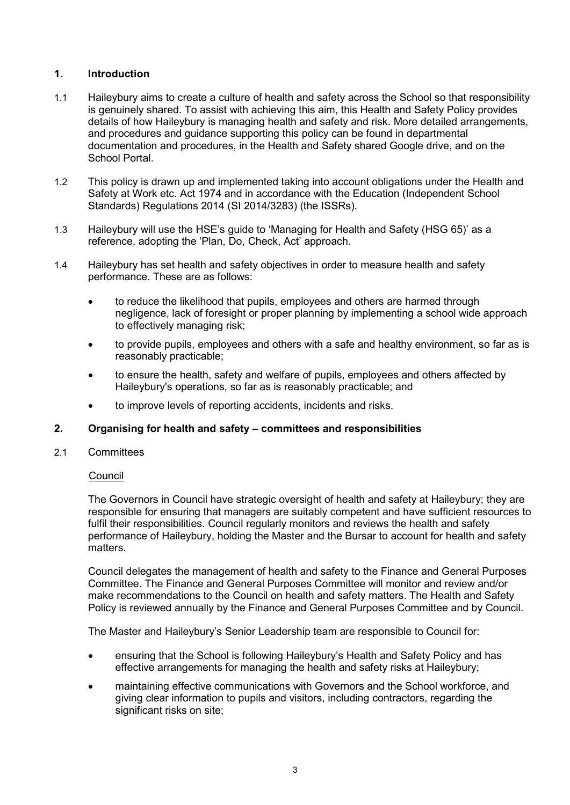# **1. Introduction**

- 1.1 Haileybury aims to create a culture of health and safety across the School so that responsibility is genuinely shared. To assist with achieving this aim, this Health and Safety Policy provides details of how Haileybury is managing health and safety and risk. More detailed arrangements, and procedures and guidance supporting this policy can be found in departmental documentation and procedures, in the Health and Safety shared Google drive, and on the School Portal.
- 1.2 This policy is drawn up and implemented taking into account obligations under the Health and Safety at Work etc. Act 1974 and in accordance with the Education (Independent School Standards) Regulations 2014 (SI 2014/3283) (the ISSRs).
- 1.3 Haileybury will use the HSE's guide to 'Managing for Health and Safety (HSG 65)' as a reference, adopting the 'Plan, Do, Check, Act' approach.
- 1.4 Haileybury has set health and safety objectives in order to measure health and safety performance. These are as follows:
	- to reduce the likelihood that pupils, employees and others are harmed through negligence, lack of foresight or proper planning by implementing a school wide approach to effectively managing risk;
	- to provide pupils, employees and others with a safe and healthy environment, so far as is reasonably practicable;
	- to ensure the health, safety and welfare of pupils, employees and others affected by Haileybury's operations, so far as is reasonably practicable; and
	- to improve levels of reporting accidents, incidents and risks.

# **2. Organising for health and safety – committees and responsibilities**

## 2.1 Committees

# Council

The Governors in Council have strategic oversight of health and safety at Haileybury; they are responsible for ensuring that managers are suitably competent and have sufficient resources to fulfil their responsibilities. Council regularly monitors and reviews the health and safety performance of Haileybury, holding the Master and the Bursar to account for health and safety matters.

Council delegates the management of health and safety to the Finance and General Purposes Committee. The Finance and General Purposes Committee will monitor and review and/or make recommendations to the Council on health and safety matters. The Health and Safety Policy is reviewed annually by the Finance and General Purposes Committee and by Council.

The Master and Haileybury's Senior Leadership team are responsible to Council for:

- ensuring that the School is following Haileybury's Health and Safety Policy and has effective arrangements for managing the health and safety risks at Haileybury;
- maintaining effective communications with Governors and the School workforce, and giving clear information to pupils and visitors, including contractors, regarding the significant risks on site;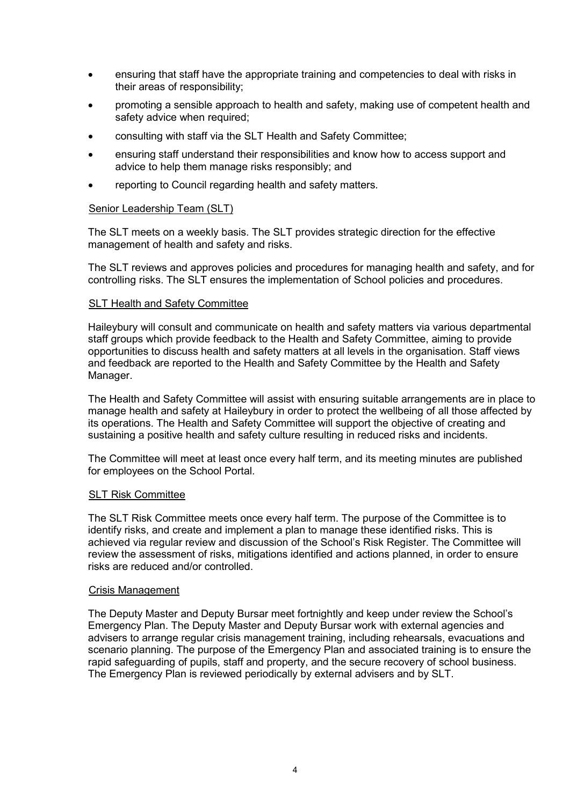- ensuring that staff have the appropriate training and competencies to deal with risks in their areas of responsibility;
- promoting a sensible approach to health and safety, making use of competent health and safety advice when required;
- consulting with staff via the SLT Health and Safety Committee;
- ensuring staff understand their responsibilities and know how to access support and advice to help them manage risks responsibly; and
- reporting to Council regarding health and safety matters.

# Senior Leadership Team (SLT)

The SLT meets on a weekly basis. The SLT provides strategic direction for the effective management of health and safety and risks.

The SLT reviews and approves policies and procedures for managing health and safety, and for controlling risks. The SLT ensures the implementation of School policies and procedures.

# SLT Health and Safety Committee

Haileybury will consult and communicate on health and safety matters via various departmental staff groups which provide feedback to the Health and Safety Committee, aiming to provide opportunities to discuss health and safety matters at all levels in the organisation. Staff views and feedback are reported to the Health and Safety Committee by the Health and Safety Manager.

The Health and Safety Committee will assist with ensuring suitable arrangements are in place to manage health and safety at Haileybury in order to protect the wellbeing of all those affected by its operations. The Health and Safety Committee will support the objective of creating and sustaining a positive health and safety culture resulting in reduced risks and incidents.

The Committee will meet at least once every half term, and its meeting minutes are published for employees on the School Portal.

## **SLT Risk Committee**

The SLT Risk Committee meets once every half term. The purpose of the Committee is to identify risks, and create and implement a plan to manage these identified risks. This is achieved via regular review and discussion of the School's Risk Register. The Committee will review the assessment of risks, mitigations identified and actions planned, in order to ensure risks are reduced and/or controlled.

## Crisis Management

The Deputy Master and Deputy Bursar meet fortnightly and keep under review the School's Emergency Plan. The Deputy Master and Deputy Bursar work with external agencies and advisers to arrange regular crisis management training, including rehearsals, evacuations and scenario planning. The purpose of the Emergency Plan and associated training is to ensure the rapid safeguarding of pupils, staff and property, and the secure recovery of school business. The Emergency Plan is reviewed periodically by external advisers and by SLT.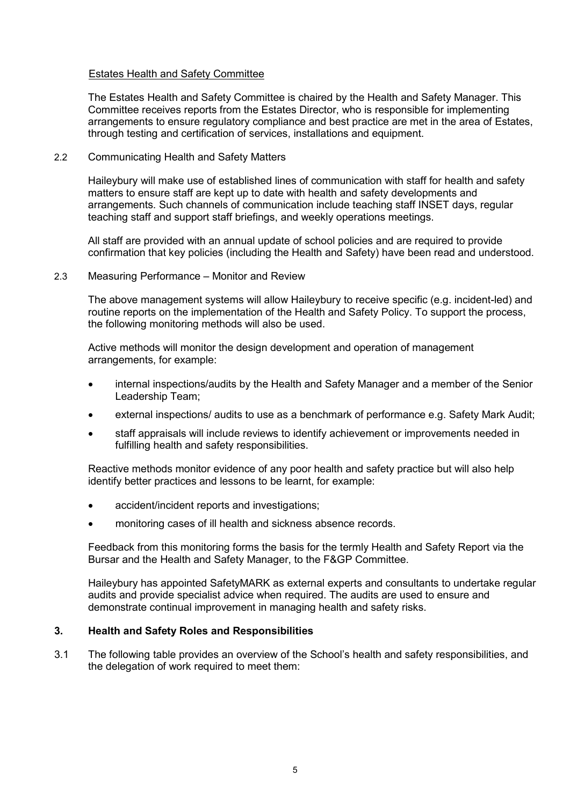# Estates Health and Safety Committee

The Estates Health and Safety Committee is chaired by the Health and Safety Manager. This Committee receives reports from the Estates Director, who is responsible for implementing arrangements to ensure regulatory compliance and best practice are met in the area of Estates, through testing and certification of services, installations and equipment.

# 2.2 Communicating Health and Safety Matters

Haileybury will make use of established lines of communication with staff for health and safety matters to ensure staff are kept up to date with health and safety developments and arrangements. Such channels of communication include teaching staff INSET days, regular teaching staff and support staff briefings, and weekly operations meetings.

All staff are provided with an annual update of school policies and are required to provide confirmation that key policies (including the Health and Safety) have been read and understood.

## 2.3 Measuring Performance – Monitor and Review

The above management systems will allow Haileybury to receive specific (e.g. incident-led) and routine reports on the implementation of the Health and Safety Policy. To support the process, the following monitoring methods will also be used.

Active methods will monitor the design development and operation of management arrangements, for example:

- internal inspections/audits by the Health and Safety Manager and a member of the Senior Leadership Team;
- external inspections/ audits to use as a benchmark of performance e.g. Safety Mark Audit;
- staff appraisals will include reviews to identify achievement or improvements needed in fulfilling health and safety responsibilities.

Reactive methods monitor evidence of any poor health and safety practice but will also help identify better practices and lessons to be learnt, for example:

- accident/incident reports and investigations;
- monitoring cases of ill health and sickness absence records.

Feedback from this monitoring forms the basis for the termly Health and Safety Report via the Bursar and the Health and Safety Manager, to the F&GP Committee.

Haileybury has appointed SafetyMARK as external experts and consultants to undertake regular audits and provide specialist advice when required. The audits are used to ensure and demonstrate continual improvement in managing health and safety risks.

## **3. Health and Safety Roles and Responsibilities**

3.1 The following table provides an overview of the School's health and safety responsibilities, and the delegation of work required to meet them: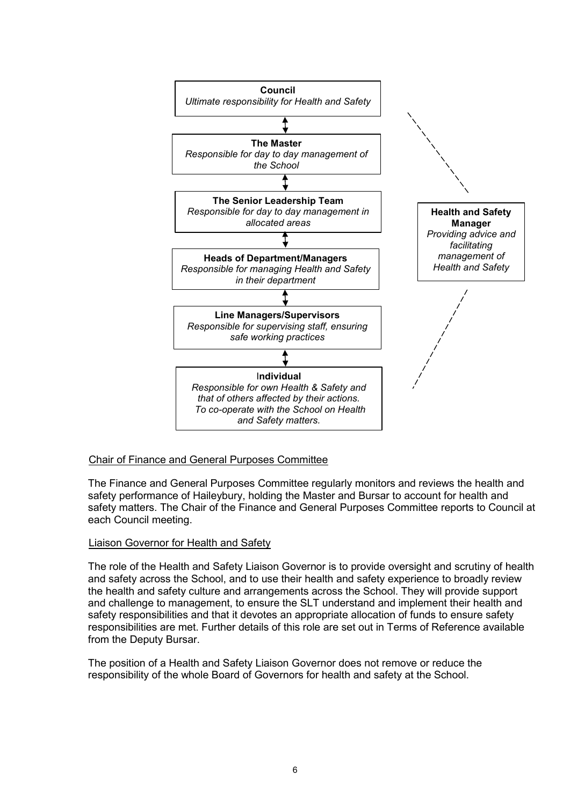

# Chair of Finance and General Purposes Committee

The Finance and General Purposes Committee regularly monitors and reviews the health and safety performance of Haileybury, holding the Master and Bursar to account for health and safety matters. The Chair of the Finance and General Purposes Committee reports to Council at each Council meeting.

# Liaison Governor for Health and Safety

The role of the Health and Safety Liaison Governor is to provide oversight and scrutiny of health and safety across the School, and to use their health and safety experience to broadly review the health and safety culture and arrangements across the School. They will provide support and challenge to management, to ensure the SLT understand and implement their health and safety responsibilities and that it devotes an appropriate allocation of funds to ensure safety responsibilities are met. Further details of this role are set out in Terms of Reference available from the Deputy Bursar.

The position of a Health and Safety Liaison Governor does not remove or reduce the responsibility of the whole Board of Governors for health and safety at the School.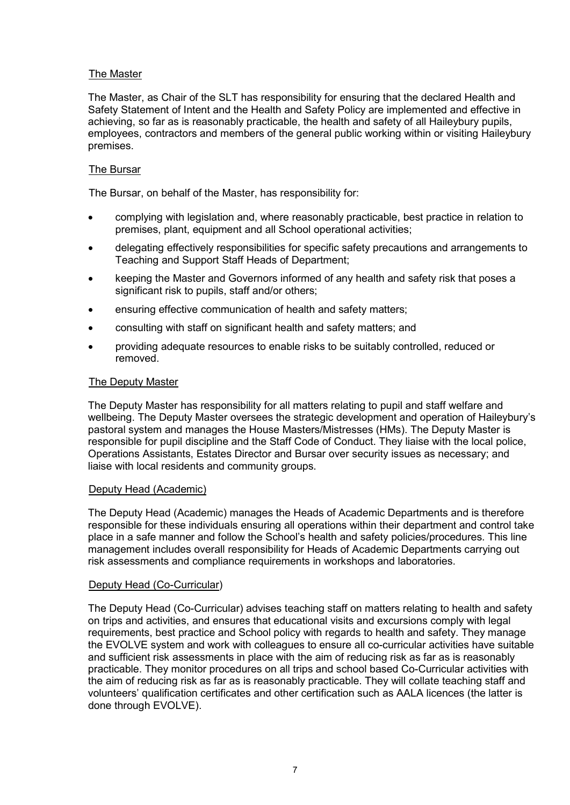# The Master

The Master, as Chair of the SLT has responsibility for ensuring that the declared Health and Safety Statement of Intent and the Health and Safety Policy are implemented and effective in achieving, so far as is reasonably practicable, the health and safety of all Haileybury pupils, employees, contractors and members of the general public working within or visiting Haileybury premises.

# The Bursar

The Bursar, on behalf of the Master, has responsibility for:

- complying with legislation and, where reasonably practicable, best practice in relation to premises, plant, equipment and all School operational activities;
- delegating effectively responsibilities for specific safety precautions and arrangements to Teaching and Support Staff Heads of Department;
- keeping the Master and Governors informed of any health and safety risk that poses a significant risk to pupils, staff and/or others;
- ensuring effective communication of health and safety matters:
- consulting with staff on significant health and safety matters; and
- providing adequate resources to enable risks to be suitably controlled, reduced or removed.

# The Deputy Master

The Deputy Master has responsibility for all matters relating to pupil and staff welfare and wellbeing. The Deputy Master oversees the strategic development and operation of Haileybury's pastoral system and manages the House Masters/Mistresses (HMs). The Deputy Master is responsible for pupil discipline and the Staff Code of Conduct. They liaise with the local police, Operations Assistants, Estates Director and Bursar over security issues as necessary; and liaise with local residents and community groups.

## Deputy Head (Academic)

The Deputy Head (Academic) manages the Heads of Academic Departments and is therefore responsible for these individuals ensuring all operations within their department and control take place in a safe manner and follow the School's health and safety policies/procedures. This line management includes overall responsibility for Heads of Academic Departments carrying out risk assessments and compliance requirements in workshops and laboratories.

# Deputy Head (Co-Curricular)

The Deputy Head (Co-Curricular) advises teaching staff on matters relating to health and safety on trips and activities, and ensures that educational visits and excursions comply with legal requirements, best practice and School policy with regards to health and safety. They manage the EVOLVE system and work with colleagues to ensure all co-curricular activities have suitable and sufficient risk assessments in place with the aim of reducing risk as far as is reasonably practicable. They monitor procedures on all trips and school based Co-Curricular activities with the aim of reducing risk as far as is reasonably practicable. They will collate teaching staff and volunteers' qualification certificates and other certification such as AALA licences (the latter is done through EVOLVE).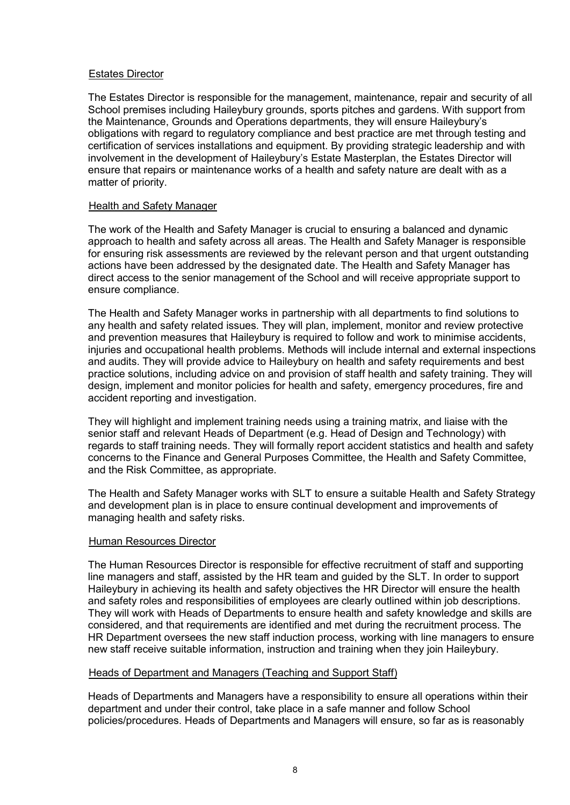# Estates Director

The Estates Director is responsible for the management, maintenance, repair and security of all School premises including Haileybury grounds, sports pitches and gardens. With support from the Maintenance, Grounds and Operations departments, they will ensure Haileybury's obligations with regard to regulatory compliance and best practice are met through testing and certification of services installations and equipment. By providing strategic leadership and with involvement in the development of Haileybury's Estate Masterplan, the Estates Director will ensure that repairs or maintenance works of a health and safety nature are dealt with as a matter of priority.

# Health and Safety Manager

The work of the Health and Safety Manager is crucial to ensuring a balanced and dynamic approach to health and safety across all areas. The Health and Safety Manager is responsible for ensuring risk assessments are reviewed by the relevant person and that urgent outstanding actions have been addressed by the designated date. The Health and Safety Manager has direct access to the senior management of the School and will receive appropriate support to ensure compliance.

The Health and Safety Manager works in partnership with all departments to find solutions to any health and safety related issues. They will plan, implement, monitor and review protective and prevention measures that Haileybury is required to follow and work to minimise accidents, injuries and occupational health problems. Methods will include internal and external inspections and audits. They will provide advice to Haileybury on health and safety requirements and best practice solutions, including advice on and provision of staff health and safety training. They will design, implement and monitor policies for health and safety, emergency procedures, fire and accident reporting and investigation.

They will highlight and implement training needs using a training matrix, and liaise with the senior staff and relevant Heads of Department (e.g. Head of Design and Technology) with regards to staff training needs. They will formally report accident statistics and health and safety concerns to the Finance and General Purposes Committee, the Health and Safety Committee, and the Risk Committee, as appropriate.

The Health and Safety Manager works with SLT to ensure a suitable Health and Safety Strategy and development plan is in place to ensure continual development and improvements of managing health and safety risks.

## Human Resources Director

The Human Resources Director is responsible for effective recruitment of staff and supporting line managers and staff, assisted by the HR team and guided by the SLT. In order to support Haileybury in achieving its health and safety objectives the HR Director will ensure the health and safety roles and responsibilities of employees are clearly outlined within job descriptions. They will work with Heads of Departments to ensure health and safety knowledge and skills are considered, and that requirements are identified and met during the recruitment process. The HR Department oversees the new staff induction process, working with line managers to ensure new staff receive suitable information, instruction and training when they join Haileybury.

## Heads of Department and Managers (Teaching and Support Staff)

Heads of Departments and Managers have a responsibility to ensure all operations within their department and under their control, take place in a safe manner and follow School policies/procedures. Heads of Departments and Managers will ensure, so far as is reasonably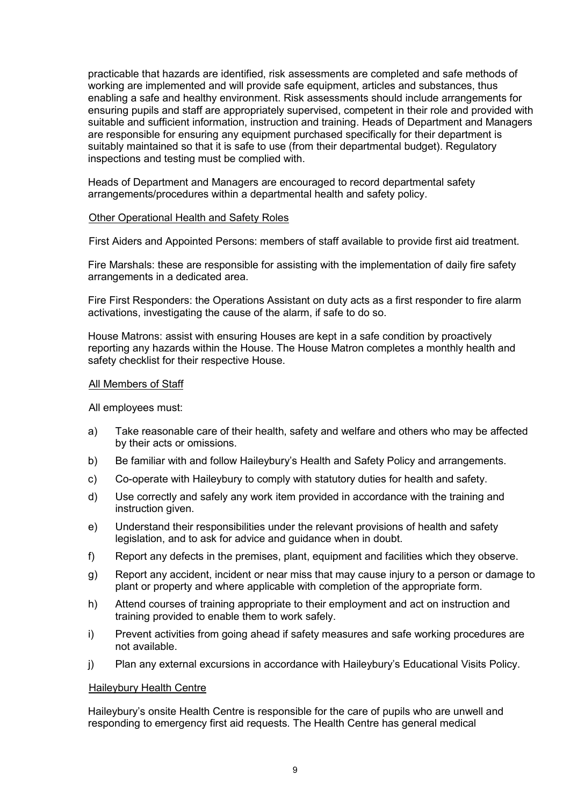practicable that hazards are identified, risk assessments are completed and safe methods of working are implemented and will provide safe equipment, articles and substances, thus enabling a safe and healthy environment. Risk assessments should include arrangements for ensuring pupils and staff are appropriately supervised, competent in their role and provided with suitable and sufficient information, instruction and training. Heads of Department and Managers are responsible for ensuring any equipment purchased specifically for their department is suitably maintained so that it is safe to use (from their departmental budget). Regulatory inspections and testing must be complied with.

Heads of Department and Managers are encouraged to record departmental safety arrangements/procedures within a departmental health and safety policy.

## Other Operational Health and Safety Roles

First Aiders and Appointed Persons: members of staff available to provide first aid treatment.

Fire Marshals: these are responsible for assisting with the implementation of daily fire safety arrangements in a dedicated area.

Fire First Responders: the Operations Assistant on duty acts as a first responder to fire alarm activations, investigating the cause of the alarm, if safe to do so.

House Matrons: assist with ensuring Houses are kept in a safe condition by proactively reporting any hazards within the House. The House Matron completes a monthly health and safety checklist for their respective House.

#### All Members of Staff

All employees must:

- a) Take reasonable care of their health, safety and welfare and others who may be affected by their acts or omissions.
- b) Be familiar with and follow Haileybury's Health and Safety Policy and arrangements.
- c) Co-operate with Haileybury to comply with statutory duties for health and safety.
- d) Use correctly and safely any work item provided in accordance with the training and instruction given.
- e) Understand their responsibilities under the relevant provisions of health and safety legislation, and to ask for advice and guidance when in doubt.
- f) Report any defects in the premises, plant, equipment and facilities which they observe.
- g) Report any accident, incident or near miss that may cause injury to a person or damage to plant or property and where applicable with completion of the appropriate form.
- h) Attend courses of training appropriate to their employment and act on instruction and training provided to enable them to work safely.
- i) Prevent activities from going ahead if safety measures and safe working procedures are not available.
- j) Plan any external excursions in accordance with Haileybury's Educational Visits Policy.

#### Haileybury Health Centre

Haileybury's onsite Health Centre is responsible for the care of pupils who are unwell and responding to emergency first aid requests. The Health Centre has general medical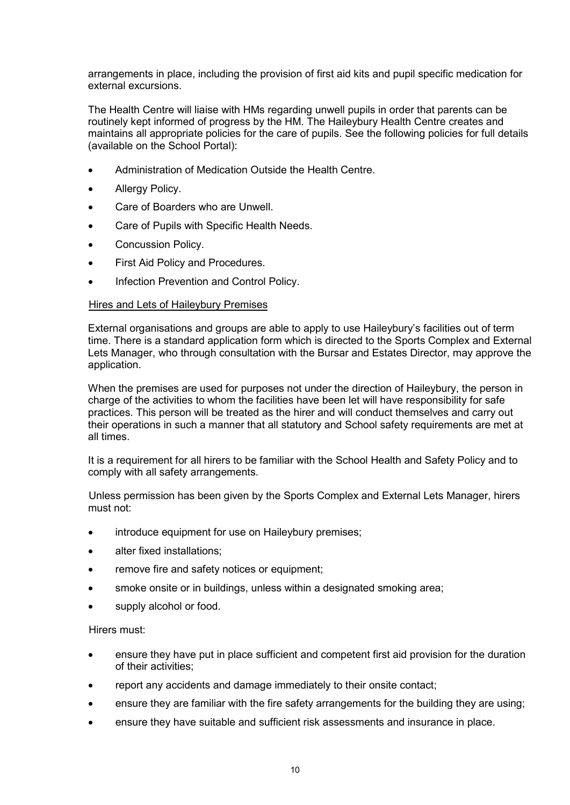arrangements in place, including the provision of first aid kits and pupil specific medication for external excursions.

The Health Centre will liaise with HMs regarding unwell pupils in order that parents can be routinely kept informed of progress by the HM. The Haileybury Health Centre creates and maintains all appropriate policies for the care of pupils. See the following policies for full details (available on the School Portal):

- Administration of Medication Outside the Health Centre.
- Allergy Policy.
- Care of Boarders who are Unwell.
- Care of Pupils with Specific Health Needs.
- Concussion Policy.
- First Aid Policy and Procedures.
- Infection Prevention and Control Policy.

# Hires and Lets of Haileybury Premises

External organisations and groups are able to apply to use Haileybury's facilities out of term time. There is a standard application form which is directed to the Sports Complex and External Lets Manager, who through consultation with the Bursar and Estates Director, may approve the application.

When the premises are used for purposes not under the direction of Haileybury, the person in charge of the activities to whom the facilities have been let will have responsibility for safe practices. This person will be treated as the hirer and will conduct themselves and carry out their operations in such a manner that all statutory and School safety requirements are met at all times.

It is a requirement for all hirers to be familiar with the School Health and Safety Policy and to comply with all safety arrangements.

Unless permission has been given by the Sports Complex and External Lets Manager, hirers must not:

- introduce equipment for use on Haileybury premises;
- alter fixed installations:
- remove fire and safety notices or equipment:
- smoke onsite or in buildings, unless within a designated smoking area;
- supply alcohol or food.

## Hirers must:

- ensure they have put in place sufficient and competent first aid provision for the duration of their activities;
- report any accidents and damage immediately to their onsite contact;
- ensure they are familiar with the fire safety arrangements for the building they are using;
- ensure they have suitable and sufficient risk assessments and insurance in place.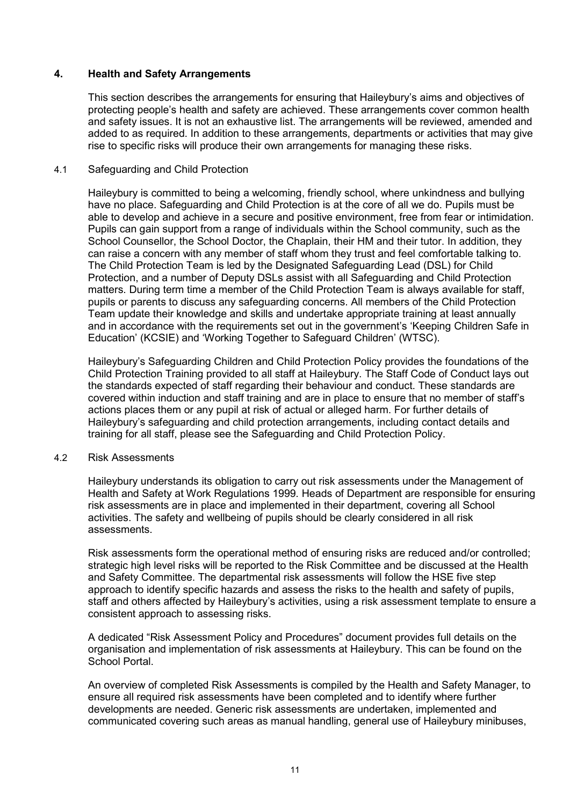# **4. Health and Safety Arrangements**

This section describes the arrangements for ensuring that Haileybury's aims and objectives of protecting people's health and safety are achieved. These arrangements cover common health and safety issues. It is not an exhaustive list. The arrangements will be reviewed, amended and added to as required. In addition to these arrangements, departments or activities that may give rise to specific risks will produce their own arrangements for managing these risks.

## 4.1 Safeguarding and Child Protection

Haileybury is committed to being a welcoming, friendly school, where unkindness and bullying have no place. Safeguarding and Child Protection is at the core of all we do. Pupils must be able to develop and achieve in a secure and positive environment, free from fear or intimidation. Pupils can gain support from a range of individuals within the School community, such as the School Counsellor, the School Doctor, the Chaplain, their HM and their tutor. In addition, they can raise a concern with any member of staff whom they trust and feel comfortable talking to. The Child Protection Team is led by the Designated Safeguarding Lead (DSL) for Child Protection, and a number of Deputy DSLs assist with all Safeguarding and Child Protection matters. During term time a member of the Child Protection Team is always available for staff, pupils or parents to discuss any safeguarding concerns. All members of the Child Protection Team update their knowledge and skills and undertake appropriate training at least annually and in accordance with the requirements set out in the government's 'Keeping Children Safe in Education' (KCSIE) and 'Working Together to Safeguard Children' (WTSC).

Haileybury's Safeguarding Children and Child Protection Policy provides the foundations of the Child Protection Training provided to all staff at Haileybury. The Staff Code of Conduct lays out the standards expected of staff regarding their behaviour and conduct. These standards are covered within induction and staff training and are in place to ensure that no member of staff's actions places them or any pupil at risk of actual or alleged harm. For further details of Haileybury's safeguarding and child protection arrangements, including contact details and training for all staff, please see the Safeguarding and Child Protection Policy.

## 4.2 Risk Assessments

Haileybury understands its obligation to carry out risk assessments under the Management of Health and Safety at Work Regulations 1999*.* Heads of Department are responsible for ensuring risk assessments are in place and implemented in their department, covering all School activities. The safety and wellbeing of pupils should be clearly considered in all risk assessments.

Risk assessments form the operational method of ensuring risks are reduced and/or controlled; strategic high level risks will be reported to the Risk Committee and be discussed at the Health and Safety Committee. The departmental risk assessments will follow the HSE five step approach to identify specific hazards and assess the risks to the health and safety of pupils, staff and others affected by Haileybury's activities, using a risk assessment template to ensure a consistent approach to assessing risks.

A dedicated "Risk Assessment Policy and Procedures" document provides full details on the organisation and implementation of risk assessments at Haileybury. This can be found on the School Portal.

An overview of completed Risk Assessments is compiled by the Health and Safety Manager, to ensure all required risk assessments have been completed and to identify where further developments are needed. Generic risk assessments are undertaken, implemented and communicated covering such areas as manual handling, general use of Haileybury minibuses,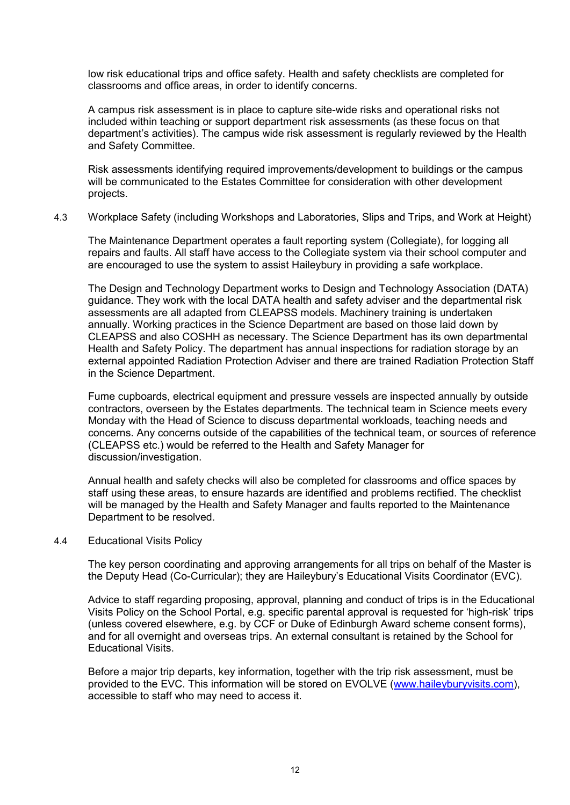low risk educational trips and office safety. Health and safety checklists are completed for classrooms and office areas, in order to identify concerns.

A campus risk assessment is in place to capture site-wide risks and operational risks not included within teaching or support department risk assessments (as these focus on that department's activities). The campus wide risk assessment is regularly reviewed by the Health and Safety Committee.

Risk assessments identifying required improvements/development to buildings or the campus will be communicated to the Estates Committee for consideration with other development projects.

# 4.3 Workplace Safety (including Workshops and Laboratories, Slips and Trips, and Work at Height)

The Maintenance Department operates a fault reporting system (Collegiate), for logging all repairs and faults. All staff have access to the Collegiate system via their school computer and are encouraged to use the system to assist Haileybury in providing a safe workplace.

The Design and Technology Department works to Design and Technology Association (DATA) guidance. They work with the local DATA health and safety adviser and the departmental risk assessments are all adapted from CLEAPSS models. Machinery training is undertaken annually. Working practices in the Science Department are based on those laid down by CLEAPSS and also COSHH as necessary. The Science Department has its own departmental Health and Safety Policy. The department has annual inspections for radiation storage by an external appointed Radiation Protection Adviser and there are trained Radiation Protection Staff in the Science Department.

Fume cupboards, electrical equipment and pressure vessels are inspected annually by outside contractors, overseen by the Estates departments. The technical team in Science meets every Monday with the Head of Science to discuss departmental workloads, teaching needs and concerns. Any concerns outside of the capabilities of the technical team, or sources of reference (CLEAPSS etc.) would be referred to the Health and Safety Manager for discussion/investigation.

Annual health and safety checks will also be completed for classrooms and office spaces by staff using these areas, to ensure hazards are identified and problems rectified. The checklist will be managed by the Health and Safety Manager and faults reported to the Maintenance Department to be resolved.

## 4.4 Educational Visits Policy

The key person coordinating and approving arrangements for all trips on behalf of the Master is the Deputy Head (Co-Curricular); they are Haileybury's Educational Visits Coordinator (EVC).

Advice to staff regarding proposing, approval, planning and conduct of trips is in the Educational Visits Policy on the School Portal, e.g. specific parental approval is requested for 'high-risk' trips (unless covered elsewhere, e.g. by CCF or Duke of Edinburgh Award scheme consent forms), and for all overnight and overseas trips. An external consultant is retained by the School for Educational Visits.

Before a major trip departs, key information, together with the trip risk assessment, must be provided to the EVC. This information will be stored on EVOLVE [\(www.haileyburyvisits.com\)](http://www.haileyburyvisits.com/), accessible to staff who may need to access it.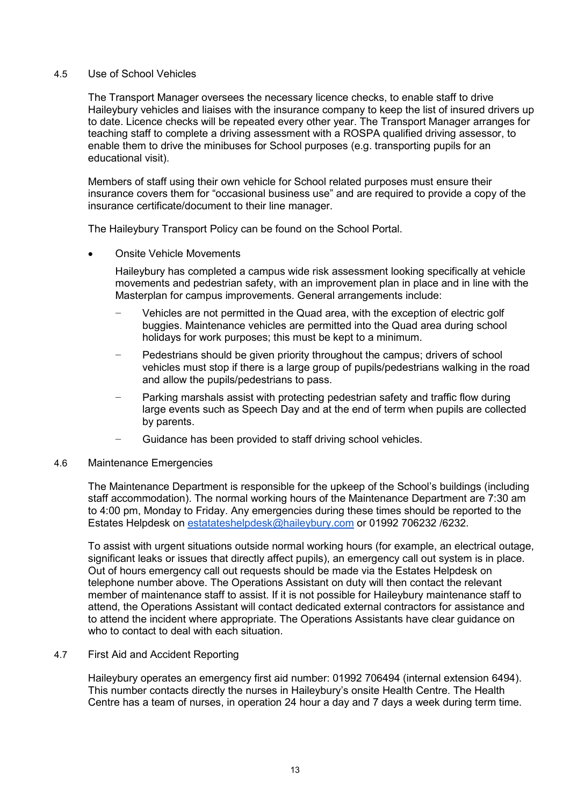## 4.5 Use of School Vehicles

The Transport Manager oversees the necessary licence checks, to enable staff to drive Haileybury vehicles and liaises with the insurance company to keep the list of insured drivers up to date. Licence checks will be repeated every other year. The Transport Manager arranges for teaching staff to complete a driving assessment with a ROSPA qualified driving assessor, to enable them to drive the minibuses for School purposes (e.g. transporting pupils for an educational visit).

Members of staff using their own vehicle for School related purposes must ensure their insurance covers them for "occasional business use" and are required to provide a copy of the insurance certificate/document to their line manager.

The Haileybury Transport Policy can be found on the School Portal.

• Onsite Vehicle Movements

Haileybury has completed a campus wide risk assessment looking specifically at vehicle movements and pedestrian safety, with an improvement plan in place and in line with the Masterplan for campus improvements. General arrangements include:

- − Vehicles are not permitted in the Quad area, with the exception of electric golf buggies. Maintenance vehicles are permitted into the Quad area during school holidays for work purposes; this must be kept to a minimum.
- − Pedestrians should be given priority throughout the campus; drivers of school vehicles must stop if there is a large group of pupils/pedestrians walking in the road and allow the pupils/pedestrians to pass.
- Parking marshals assist with protecting pedestrian safety and traffic flow during large events such as Speech Day and at the end of term when pupils are collected by parents.
- Guidance has been provided to staff driving school vehicles.

## 4.6 Maintenance Emergencies

The Maintenance Department is responsible for the upkeep of the School's buildings (including staff accommodation). The normal working hours of the Maintenance Department are 7:30 am to 4:00 pm, Monday to Friday. Any emergencies during these times should be reported to the Estates Helpdesk on [estatateshelpdesk@haileybury.com](mailto:estatateshelpdesk@haileybury.com) or 01992 706232 /6232.

To assist with urgent situations outside normal working hours (for example, an electrical outage, significant leaks or issues that directly affect pupils), an emergency call out system is in place. Out of hours emergency call out requests should be made via the Estates Helpdesk on telephone number above. The Operations Assistant on duty will then contact the relevant member of maintenance staff to assist. If it is not possible for Haileybury maintenance staff to attend, the Operations Assistant will contact dedicated external contractors for assistance and to attend the incident where appropriate. The Operations Assistants have clear guidance on who to contact to deal with each situation.

## 4.7 First Aid and Accident Reporting

Haileybury operates an emergency first aid number: 01992 706494 (internal extension 6494). This number contacts directly the nurses in Haileybury's onsite Health Centre. The Health Centre has a team of nurses, in operation 24 hour a day and 7 days a week during term time.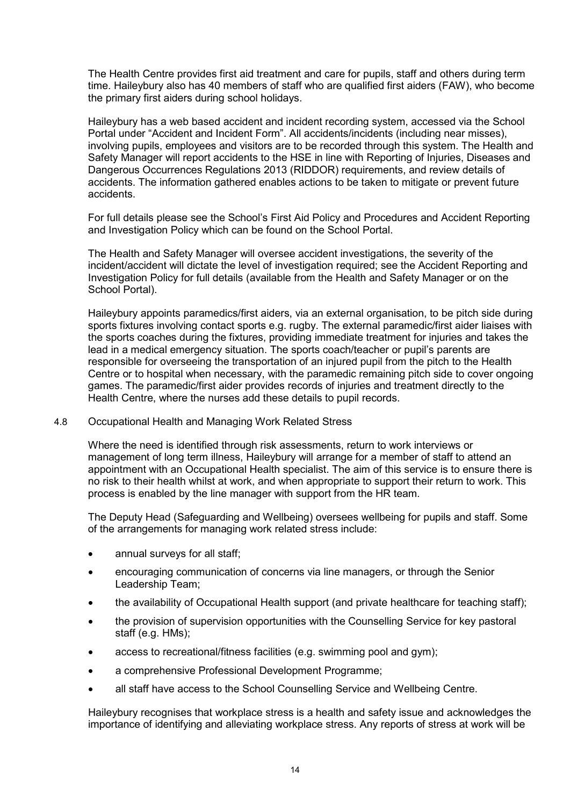The Health Centre provides first aid treatment and care for pupils, staff and others during term time. Haileybury also has 40 members of staff who are qualified first aiders (FAW), who become the primary first aiders during school holidays.

Haileybury has a web based accident and incident recording system, accessed via the School Portal under "Accident and Incident Form". All accidents/incidents (including near misses), involving pupils, employees and visitors are to be recorded through this system. The Health and Safety Manager will report accidents to the HSE in line with Reporting of Injuries, Diseases and Dangerous Occurrences Regulations 2013 (RIDDOR) requirements, and review details of accidents. The information gathered enables actions to be taken to mitigate or prevent future accidents.

For full details please see the School's First Aid Policy and Procedures and Accident Reporting and Investigation Policy which can be found on the School Portal.

The Health and Safety Manager will oversee accident investigations, the severity of the incident/accident will dictate the level of investigation required; see the Accident Reporting and Investigation Policy for full details (available from the Health and Safety Manager or on the School Portal).

Haileybury appoints paramedics/first aiders, via an external organisation, to be pitch side during sports fixtures involving contact sports e.g. rugby. The external paramedic/first aider liaises with the sports coaches during the fixtures, providing immediate treatment for injuries and takes the lead in a medical emergency situation. The sports coach/teacher or pupil's parents are responsible for overseeing the transportation of an injured pupil from the pitch to the Health Centre or to hospital when necessary, with the paramedic remaining pitch side to cover ongoing games. The paramedic/first aider provides records of injuries and treatment directly to the Health Centre, where the nurses add these details to pupil records.

# 4.8 Occupational Health and Managing Work Related Stress

Where the need is identified through risk assessments, return to work interviews or management of long term illness, Haileybury will arrange for a member of staff to attend an appointment with an Occupational Health specialist. The aim of this service is to ensure there is no risk to their health whilst at work, and when appropriate to support their return to work. This process is enabled by the line manager with support from the HR team.

The Deputy Head (Safeguarding and Wellbeing) oversees wellbeing for pupils and staff. Some of the arrangements for managing work related stress include:

- annual surveys for all staff;
- encouraging communication of concerns via line managers, or through the Senior Leadership Team;
- the availability of Occupational Health support (and private healthcare for teaching staff);
- the provision of supervision opportunities with the Counselling Service for key pastoral staff (e.g. HMs);
- access to recreational/fitness facilities (e.g. swimming pool and gym);
- a comprehensive Professional Development Programme;
- all staff have access to the School Counselling Service and Wellbeing Centre.

Haileybury recognises that workplace stress is a health and safety issue and acknowledges the importance of identifying and alleviating workplace stress. Any reports of stress at work will be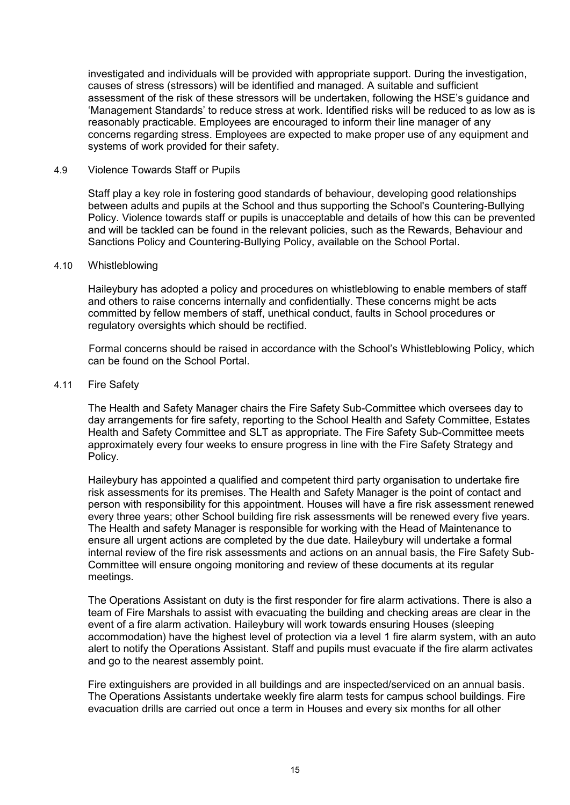investigated and individuals will be provided with appropriate support. During the investigation, causes of stress (stressors) will be identified and managed. A suitable and sufficient assessment of the risk of these stressors will be undertaken, following the HSE's guidance and 'Management Standards' to reduce stress at work. Identified risks will be reduced to as low as is reasonably practicable. Employees are encouraged to inform their line manager of any concerns regarding stress. Employees are expected to make proper use of any equipment and systems of work provided for their safety.

## 4.9 Violence Towards Staff or Pupils

Staff play a key role in fostering good standards of behaviour, developing good relationships between adults and pupils at the School and thus supporting the School's Countering-Bullying Policy. Violence towards staff or pupils is unacceptable and details of how this can be prevented and will be tackled can be found in the relevant policies, such as the Rewards, Behaviour and Sanctions Policy and Countering-Bullying Policy, available on the School Portal.

#### 4.10 Whistleblowing

Haileybury has adopted a policy and procedures on whistleblowing to enable members of staff and others to raise concerns internally and confidentially. These concerns might be acts committed by fellow members of staff, unethical conduct, faults in School procedures or regulatory oversights which should be rectified.

Formal concerns should be raised in accordance with the School's Whistleblowing Policy, which can be found on the School Portal.

#### 4.11 Fire Safety

The Health and Safety Manager chairs the Fire Safety Sub-Committee which oversees day to day arrangements for fire safety, reporting to the School Health and Safety Committee, Estates Health and Safety Committee and SLT as appropriate. The Fire Safety Sub-Committee meets approximately every four weeks to ensure progress in line with the Fire Safety Strategy and Policy.

Haileybury has appointed a qualified and competent third party organisation to undertake fire risk assessments for its premises. The Health and Safety Manager is the point of contact and person with responsibility for this appointment. Houses will have a fire risk assessment renewed every three years; other School building fire risk assessments will be renewed every five years. The Health and safety Manager is responsible for working with the Head of Maintenance to ensure all urgent actions are completed by the due date. Haileybury will undertake a formal internal review of the fire risk assessments and actions on an annual basis, the Fire Safety Sub-Committee will ensure ongoing monitoring and review of these documents at its regular meetings.

The Operations Assistant on duty is the first responder for fire alarm activations. There is also a team of Fire Marshals to assist with evacuating the building and checking areas are clear in the event of a fire alarm activation. Haileybury will work towards ensuring Houses (sleeping accommodation) have the highest level of protection via a level 1 fire alarm system, with an auto alert to notify the Operations Assistant. Staff and pupils must evacuate if the fire alarm activates and go to the nearest assembly point.

Fire extinguishers are provided in all buildings and are inspected/serviced on an annual basis. The Operations Assistants undertake weekly fire alarm tests for campus school buildings. Fire evacuation drills are carried out once a term in Houses and every six months for all other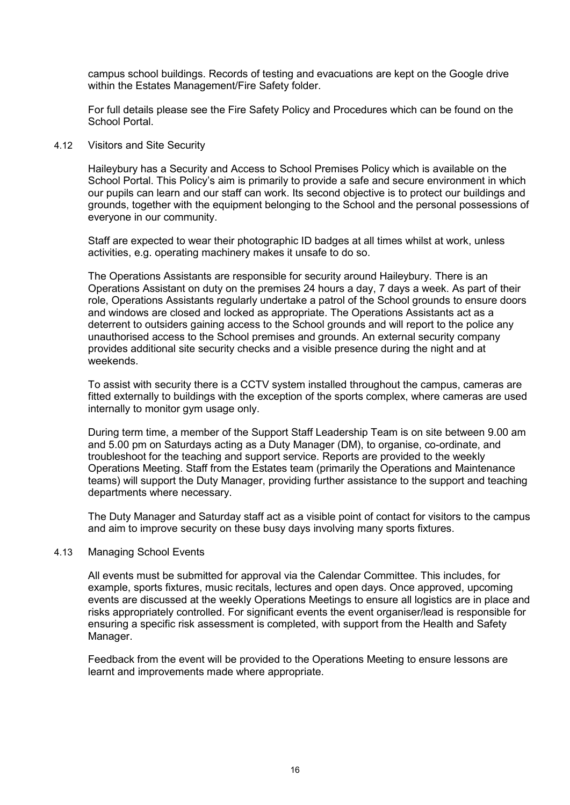campus school buildings. Records of testing and evacuations are kept on the Google drive within the Estates Management/Fire Safety folder.

For full details please see the Fire Safety Policy and Procedures which can be found on the School Portal.

## 4.12 Visitors and Site Security

Haileybury has a Security and Access to School Premises Policy which is available on the School Portal. This Policy's aim is primarily to provide a safe and secure environment in which our pupils can learn and our staff can work. Its second objective is to protect our buildings and grounds, together with the equipment belonging to the School and the personal possessions of everyone in our community.

Staff are expected to wear their photographic ID badges at all times whilst at work, unless activities, e.g. operating machinery makes it unsafe to do so.

The Operations Assistants are responsible for security around Haileybury. There is an Operations Assistant on duty on the premises 24 hours a day, 7 days a week. As part of their role, Operations Assistants regularly undertake a patrol of the School grounds to ensure doors and windows are closed and locked as appropriate. The Operations Assistants act as a deterrent to outsiders gaining access to the School grounds and will report to the police any unauthorised access to the School premises and grounds. An external security company provides additional site security checks and a visible presence during the night and at weekends.

To assist with security there is a CCTV system installed throughout the campus, cameras are fitted externally to buildings with the exception of the sports complex, where cameras are used internally to monitor gym usage only.

During term time, a member of the Support Staff Leadership Team is on site between 9.00 am and 5.00 pm on Saturdays acting as a Duty Manager (DM), to organise, co-ordinate, and troubleshoot for the teaching and support service. Reports are provided to the weekly Operations Meeting. Staff from the Estates team (primarily the Operations and Maintenance teams) will support the Duty Manager, providing further assistance to the support and teaching departments where necessary.

The Duty Manager and Saturday staff act as a visible point of contact for visitors to the campus and aim to improve security on these busy days involving many sports fixtures.

## 4.13 Managing School Events

All events must be submitted for approval via the Calendar Committee. This includes, for example, sports fixtures, music recitals, lectures and open days. Once approved, upcoming events are discussed at the weekly Operations Meetings to ensure all logistics are in place and risks appropriately controlled. For significant events the event organiser/lead is responsible for ensuring a specific risk assessment is completed, with support from the Health and Safety Manager.

Feedback from the event will be provided to the Operations Meeting to ensure lessons are learnt and improvements made where appropriate.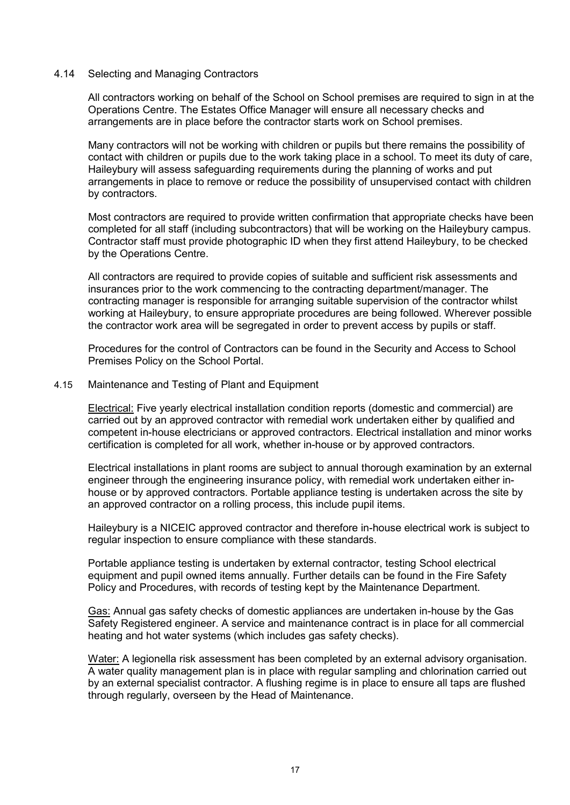## 4.14 Selecting and Managing Contractors

All contractors working on behalf of the School on School premises are required to sign in at the Operations Centre. The Estates Office Manager will ensure all necessary checks and arrangements are in place before the contractor starts work on School premises.

Many contractors will not be working with children or pupils but there remains the possibility of contact with children or pupils due to the work taking place in a school. To meet its duty of care, Haileybury will assess safeguarding requirements during the planning of works and put arrangements in place to remove or reduce the possibility of unsupervised contact with children by contractors.

Most contractors are required to provide written confirmation that appropriate checks have been completed for all staff (including subcontractors) that will be working on the Haileybury campus. Contractor staff must provide photographic ID when they first attend Haileybury, to be checked by the Operations Centre.

All contractors are required to provide copies of suitable and sufficient risk assessments and insurances prior to the work commencing to the contracting department/manager. The contracting manager is responsible for arranging suitable supervision of the contractor whilst working at Haileybury, to ensure appropriate procedures are being followed. Wherever possible the contractor work area will be segregated in order to prevent access by pupils or staff.

Procedures for the control of Contractors can be found in the Security and Access to School Premises Policy on the School Portal.

#### 4.15 Maintenance and Testing of Plant and Equipment

Electrical: Five yearly electrical installation condition reports (domestic and commercial) are carried out by an approved contractor with remedial work undertaken either by qualified and competent in-house electricians or approved contractors. Electrical installation and minor works certification is completed for all work, whether in-house or by approved contractors.

Electrical installations in plant rooms are subject to annual thorough examination by an external engineer through the engineering insurance policy, with remedial work undertaken either inhouse or by approved contractors. Portable appliance testing is undertaken across the site by an approved contractor on a rolling process, this include pupil items.

Haileybury is a NICEIC approved contractor and therefore in-house electrical work is subject to regular inspection to ensure compliance with these standards.

Portable appliance testing is undertaken by external contractor, testing School electrical equipment and pupil owned items annually. Further details can be found in the Fire Safety Policy and Procedures, with records of testing kept by the Maintenance Department.

Gas: Annual gas safety checks of domestic appliances are undertaken in-house by the Gas Safety Registered engineer. A service and maintenance contract is in place for all commercial heating and hot water systems (which includes gas safety checks).

Water: A legionella risk assessment has been completed by an external advisory organisation. A water quality management plan is in place with regular sampling and chlorination carried out by an external specialist contractor. A flushing regime is in place to ensure all taps are flushed through regularly, overseen by the Head of Maintenance.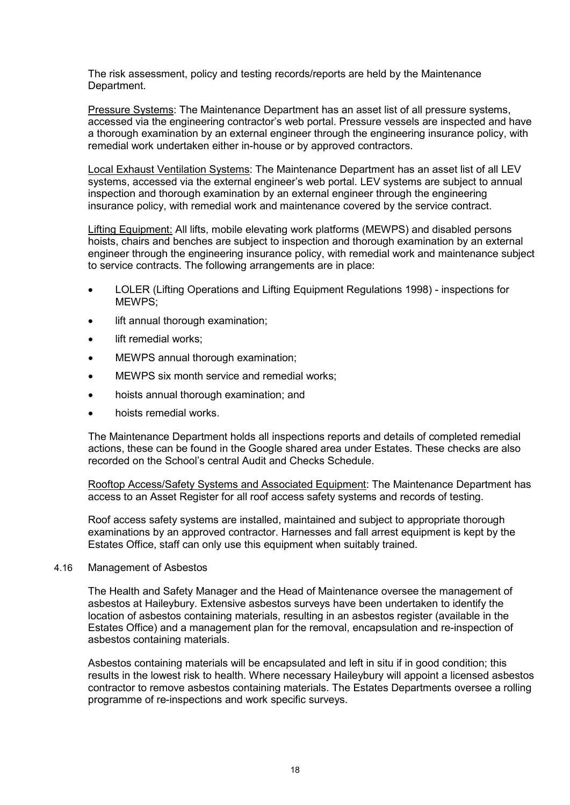The risk assessment, policy and testing records/reports are held by the Maintenance Department.

Pressure Systems: The Maintenance Department has an asset list of all pressure systems, accessed via the engineering contractor's web portal. Pressure vessels are inspected and have a thorough examination by an external engineer through the engineering insurance policy, with remedial work undertaken either in-house or by approved contractors.

Local Exhaust Ventilation Systems: The Maintenance Department has an asset list of all LEV systems, accessed via the external engineer's web portal. LEV systems are subject to annual inspection and thorough examination by an external engineer through the engineering insurance policy, with remedial work and maintenance covered by the service contract.

Lifting Equipment: All lifts, mobile elevating work platforms (MEWPS) and disabled persons hoists, chairs and benches are subject to inspection and thorough examination by an external engineer through the engineering insurance policy, with remedial work and maintenance subject to service contracts. The following arrangements are in place:

- LOLER (Lifting Operations and Lifting Equipment Regulations 1998) inspections for MEWPS;
- lift annual thorough examination:
- lift remedial works;
- MEWPS annual thorough examination;
- MEWPS six month service and remedial works;
- hoists annual thorough examination; and
- hoists remedial works.

The Maintenance Department holds all inspections reports and details of completed remedial actions, these can be found in the Google shared area under Estates. These checks are also recorded on the School's central Audit and Checks Schedule.

Rooftop Access/Safety Systems and Associated Equipment: The Maintenance Department has access to an Asset Register for all roof access safety systems and records of testing.

Roof access safety systems are installed, maintained and subject to appropriate thorough examinations by an approved contractor. Harnesses and fall arrest equipment is kept by the Estates Office, staff can only use this equipment when suitably trained.

## 4.16 Management of Asbestos

The Health and Safety Manager and the Head of Maintenance oversee the management of asbestos at Haileybury. Extensive asbestos surveys have been undertaken to identify the location of asbestos containing materials, resulting in an asbestos register (available in the Estates Office) and a management plan for the removal, encapsulation and re-inspection of asbestos containing materials.

Asbestos containing materials will be encapsulated and left in situ if in good condition; this results in the lowest risk to health. Where necessary Haileybury will appoint a licensed asbestos contractor to remove asbestos containing materials. The Estates Departments oversee a rolling programme of re-inspections and work specific surveys.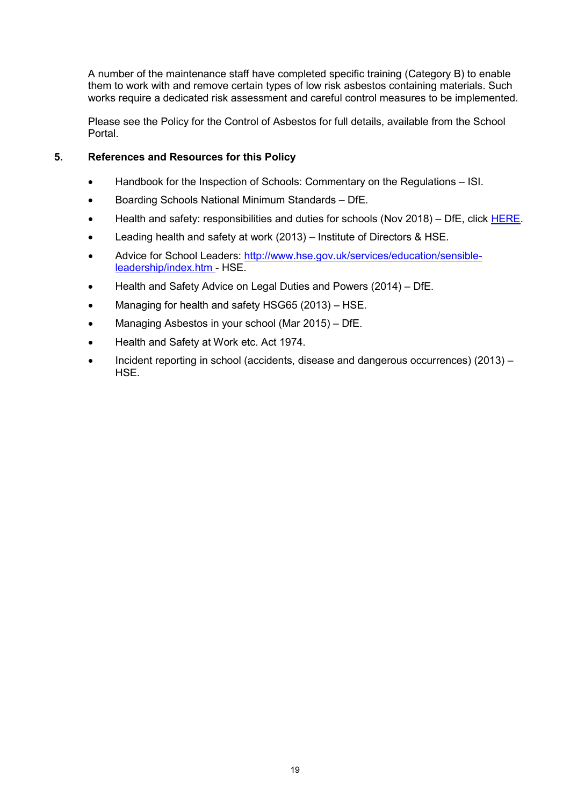A number of the maintenance staff have completed specific training (Category B) to enable them to work with and remove certain types of low risk asbestos containing materials. Such works require a dedicated risk assessment and careful control measures to be implemented.

Please see the Policy for the Control of Asbestos for full details, available from the School Portal.

# **5. References and Resources for this Policy**

- Handbook for the Inspection of Schools: Commentary on the Regulations ISI.
- Boarding Schools National Minimum Standards DfE.
- Health and safety: responsibilities and duties for schools (Nov 2018) DfE, click [HERE.](https://www.gov.uk/government/publications/health-and-safety-advice-for-schools/responsibilities-and-duties-for-schools)
- Leading health and safety at work (2013) Institute of Directors & HSE.
- Advice for School Leaders: [http://www.hse.gov.uk/services/education/sensible](http://www.hse.gov.uk/services/education/sensible-leadership/index.htm)[leadership/index.htm](http://www.hse.gov.uk/services/education/sensible-leadership/index.htm) - HSE.
- Health and Safety Advice on Legal Duties and Powers (2014) DfE.
- Managing for health and safety HSG65 (2013) HSE.
- Managing Asbestos in your school (Mar 2015) DfE.
- Health and Safety at Work etc. Act 1974.
- Incident reporting in school (accidents, disease and dangerous occurrences) (2013) HSE.